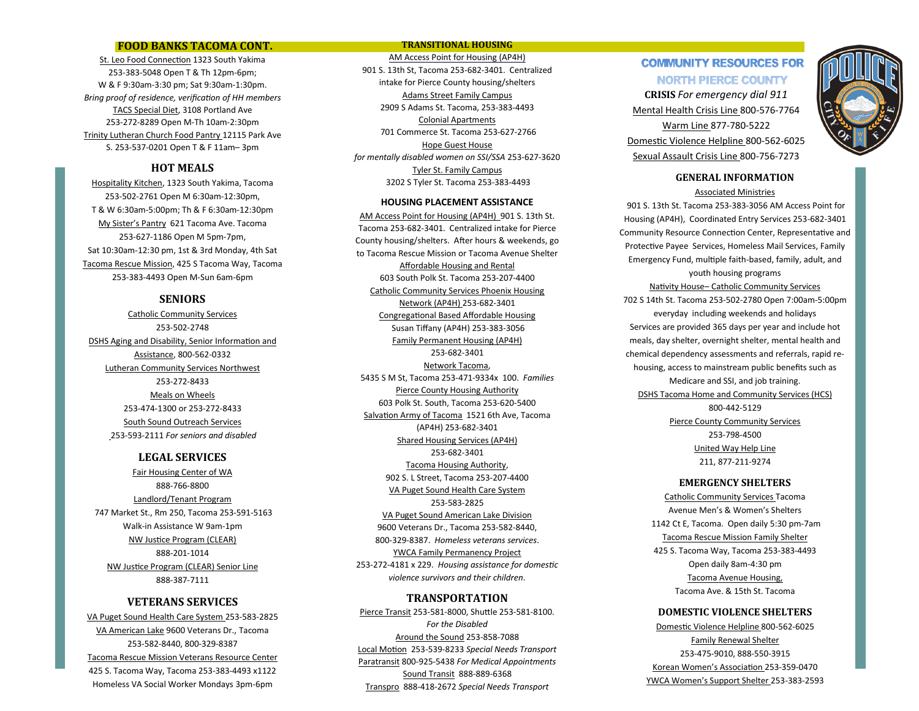## **FOOD BANKS TACOMA CONT.**

St. Leo Food Connection 1323 South Yakima 253-383-5048 Open T & Th 12pm-6pm; W & F 9:30am-3:30 pm; Sat 9:30am-1:30pm. *Bring proof of residence, verification of HH members* TACS Special Diet, 3108 Portland Ave 253-272-8289 Open M-Th 10am-2:30pm Trinity Lutheran Church Food Pantry 12115 Park Ave S. 253-537-0201 Open T & F 11am– 3pm

## **HOT MEALS**

Hospitality Kitchen, 1323 South Yakima, Tacoma 253-502-2761 Open M 6:30am-12:30pm, T & W 6:30am-5:00pm; Th & F 6:30am-12:30pm My Sister's Pantry 621 Tacoma Ave. Tacoma 253-627-1186 Open M 5pm-7pm, Sat 10:30am-12:30 pm, 1st & 3rd Monday, 4th Sat Tacoma Rescue Mission, 425 S Tacoma Way, Tacoma 253-383-4493 Open M-Sun 6am-6pm

## **SENIORS**

Catholic Community Services 253-502-2748 DSHS Aging and Disability, Senior Information and Assistance, 800-562-0332 Lutheran Community Services Northwest 253-272-8433 Meals on Wheels 253-474-1300 or 253-272-8433 South Sound Outreach Services 253-593-2111 *For seniors and disabled* 

## **LEGAL SERVICES**

Fair Housing Center of WA 888-766-8800 Landlord/Tenant Program 747 Market St., Rm 250, Tacoma 253-591-5163 Walk-in Assistance W 9am-1pm NW Justice Program (CLEAR) 888-201-1014 NW Justice Program (CLEAR) Senior Line 888-387-7111

## **VETERANS SERVICES**

VA Puget Sound Health Care System 253-583-2825 VA American Lake 9600 Veterans Dr., Tacoma 253-582-8440, 800-329-8387 Tacoma Rescue Mission Veterans Resource Center 425 S. Tacoma Way, Tacoma 253-383-4493 x1122 Homeless VA Social Worker Mondays 3pm-6pm

### **TRANSITIONAL HOUSING**

AM Access Point for Housing (AP4H) 901 S. 13th St, Tacoma 253-682-3401. Centralized intake for Pierce County housing/shelters Adams Street Family Campus 2909 S Adams St. Tacoma, 253-383-4493 Colonial Apartments 701 Commerce St. Tacoma 253-627-2766 Hope Guest House *for mentally disabled women on SSI/SSA* 253-627-3620 Tyler St. Family Campus 3202 S Tyler St. Tacoma 253-383-4493

### **HOUSING PLACEMENT ASSISTANCE**

AM Access Point for Housing (AP4H) 901 S. 13th St. Tacoma 253-682-3401. Centralized intake for Pierce County housing/shelters. After hours & weekends, go to Tacoma Rescue Mission or Tacoma Avenue Shelter Affordable Housing and Rental 603 South Polk St. Tacoma 253-207-4400 Catholic Community Services Phoenix Housing Network (AP4H) 253-682-3401 Congregational Based Affordable Housing Susan Tiffany (AP4H) 253-383-3056 Family Permanent Housing (AP4H) 253-682-3401 Network Tacoma, 5435 S M St, Tacoma 253-471-9334x 100. *Families* Pierce County Housing Authority 603 Polk St. South, Tacoma 253-620-5400 Salvation Army of Tacoma 1521 6th Ave, Tacoma (AP4H) 253-682-3401 Shared Housing Services (AP4H) 253-682-3401 Tacoma Housing Authority, 902 S. L Street, Tacoma 253-207-4400 VA Puget Sound Health Care System 253-583-2825 VA Puget Sound American Lake Division 9600 Veterans Dr., Tacoma 253-582-8440, 800-329-8387. *Homeless veterans services*. YWCA Family Permanency Project 253-272-4181 x 229. *Housing assistance for domestic violence survivors and their children*.

## **TRANSPORTATION**

Pierce Transit 253-581-8000, Shuttle 253-581-8100. *For the Disabled* Around the Sound 253-858-7088 Local Motion 253-539-8233 *Special Needs Transport* Paratransit 800-925-5438 *For Medical Appointments* Sound Transit 888-889-6368 Transpro 888-418-2672 *Special Needs Transport*

# **COMMUNITY RESOURCES FOR NORTH PIERCE COUNTY**

**CRISIS** *For emergency dial 911* Mental Health Crisis Line 800-576-7764 Warm Line 877-780-5222 Domestic Violence Helpline 800-562-6025 Sexual Assault Crisis Line 800-756-7273



901 S. 13th St. Tacoma 253-383-3056 AM Access Point for Housing (AP4H), Coordinated Entry Services 253-682-3401 Community Resource Connection Center, Representative and Protective Payee Services, Homeless Mail Services, Family Emergency Fund, multiple faith-based, family, adult, and youth housing programs Nativity House– Catholic Community Services 702 S 14th St. Tacoma 253-502-2780 Open 7:00am-5:00pm everyday including weekends and holidays Services are provided 365 days per year and include hot meals, day shelter, overnight shelter, mental health and chemical dependency assessments and referrals, rapid rehousing, access to mainstream public benefits such as Medicare and SSI, and job training. DSHS Tacoma Home and Community Services (HCS) 800-442-5129 Pierce County Community Services 253-798-4500 United Way Help Line

# 211, 877-211-9274 **EMERGENCY SHELTERS**

Catholic Community Services Tacoma Avenue Men's & Women's Shelters 1142 Ct E, Tacoma. Open daily 5:30 pm-7am Tacoma Rescue Mission Family Shelter 425 S. Tacoma Way, Tacoma 253-383-4493 Open daily 8am-4:30 pm Tacoma Avenue Housing, Tacoma Ave. & 15th St. Tacoma

### **DOMESTIC VIOLENCE SHELTERS**

Domestic Violence Helpline 800-562-6025 Family Renewal Shelter 253-475-9010, 888-550-3915 Korean Women's Association 253-359-0470 YWCA Women's Support Shelter 253-383-2593